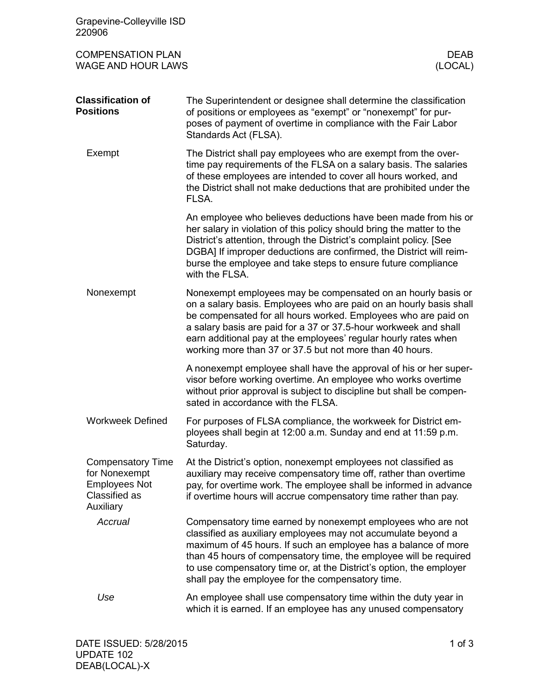| Grapevine-Colleyville ISD<br>220906                                                             |                                                                                                                                                                                                                                                                                                                                                                                                         |  |
|-------------------------------------------------------------------------------------------------|---------------------------------------------------------------------------------------------------------------------------------------------------------------------------------------------------------------------------------------------------------------------------------------------------------------------------------------------------------------------------------------------------------|--|
| <b>COMPENSATION PLAN</b><br><b>WAGE AND HOUR LAWS</b>                                           | <b>DEAB</b><br>(LOCAL)                                                                                                                                                                                                                                                                                                                                                                                  |  |
| <b>Classification of</b><br><b>Positions</b>                                                    | The Superintendent or designee shall determine the classification<br>of positions or employees as "exempt" or "nonexempt" for pur-<br>poses of payment of overtime in compliance with the Fair Labor<br>Standards Act (FLSA).                                                                                                                                                                           |  |
| Exempt                                                                                          | The District shall pay employees who are exempt from the over-<br>time pay requirements of the FLSA on a salary basis. The salaries<br>of these employees are intended to cover all hours worked, and<br>the District shall not make deductions that are prohibited under the<br>FLSA.                                                                                                                  |  |
|                                                                                                 | An employee who believes deductions have been made from his or<br>her salary in violation of this policy should bring the matter to the<br>District's attention, through the District's complaint policy. [See<br>DGBA] If improper deductions are confirmed, the District will reim-<br>burse the employee and take steps to ensure future compliance<br>with the FLSA.                                |  |
| Nonexempt                                                                                       | Nonexempt employees may be compensated on an hourly basis or<br>on a salary basis. Employees who are paid on an hourly basis shall<br>be compensated for all hours worked. Employees who are paid on<br>a salary basis are paid for a 37 or 37.5-hour workweek and shall<br>earn additional pay at the employees' regular hourly rates when<br>working more than 37 or 37.5 but not more than 40 hours. |  |
|                                                                                                 | A nonexempt employee shall have the approval of his or her super-<br>visor before working overtime. An employee who works overtime<br>without prior approval is subject to discipline but shall be compen-<br>sated in accordance with the FLSA.                                                                                                                                                        |  |
| <b>Workweek Defined</b>                                                                         | For purposes of FLSA compliance, the workweek for District em-<br>ployees shall begin at 12:00 a.m. Sunday and end at 11:59 p.m.<br>Saturday.                                                                                                                                                                                                                                                           |  |
| <b>Compensatory Time</b><br>for Nonexempt<br><b>Employees Not</b><br>Classified as<br>Auxiliary | At the District's option, nonexempt employees not classified as<br>auxiliary may receive compensatory time off, rather than overtime<br>pay, for overtime work. The employee shall be informed in advance<br>if overtime hours will accrue compensatory time rather than pay.                                                                                                                           |  |
| Accrual                                                                                         | Compensatory time earned by nonexempt employees who are not<br>classified as auxiliary employees may not accumulate beyond a<br>maximum of 45 hours. If such an employee has a balance of more<br>than 45 hours of compensatory time, the employee will be required<br>to use compensatory time or, at the District's option, the employer<br>shall pay the employee for the compensatory time.         |  |
| Use                                                                                             | An employee shall use compensatory time within the duty year in<br>which it is earned. If an employee has any unused compensatory                                                                                                                                                                                                                                                                       |  |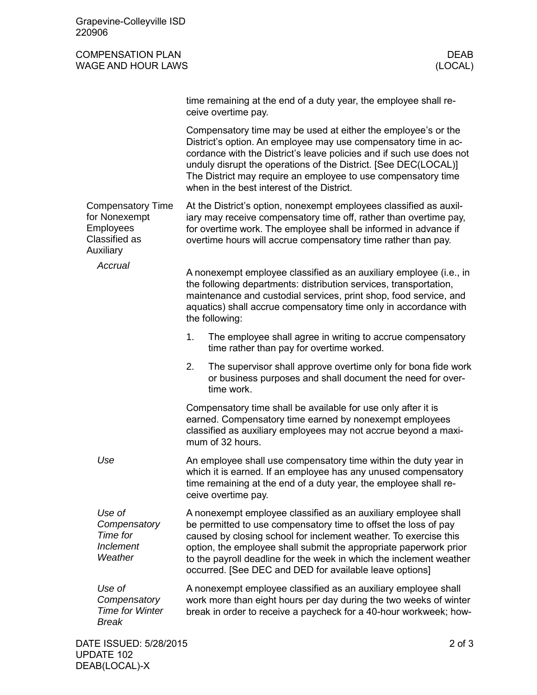| Grapevine-Colleyville ISD<br>220906                                                  |                                                                                                                                                                                                                                                                                                                                                                                                              |                        |
|--------------------------------------------------------------------------------------|--------------------------------------------------------------------------------------------------------------------------------------------------------------------------------------------------------------------------------------------------------------------------------------------------------------------------------------------------------------------------------------------------------------|------------------------|
| <b>COMPENSATION PLAN</b><br>WAGE AND HOUR LAWS                                       |                                                                                                                                                                                                                                                                                                                                                                                                              | <b>DEAB</b><br>(LOCAL) |
|                                                                                      | time remaining at the end of a duty year, the employee shall re-<br>ceive overtime pay.                                                                                                                                                                                                                                                                                                                      |                        |
|                                                                                      | Compensatory time may be used at either the employee's or the<br>District's option. An employee may use compensatory time in ac-<br>cordance with the District's leave policies and if such use does not<br>unduly disrupt the operations of the District. [See DEC(LOCAL)]<br>The District may require an employee to use compensatory time<br>when in the best interest of the District.                   |                        |
| <b>Compensatory Time</b><br>for Nonexempt<br>Employees<br>Classified as<br>Auxiliary | At the District's option, nonexempt employees classified as auxil-<br>iary may receive compensatory time off, rather than overtime pay,<br>for overtime work. The employee shall be informed in advance if<br>overtime hours will accrue compensatory time rather than pay.                                                                                                                                  |                        |
| Accrual                                                                              | A nonexempt employee classified as an auxiliary employee (i.e., in<br>the following departments: distribution services, transportation,<br>maintenance and custodial services, print shop, food service, and<br>aquatics) shall accrue compensatory time only in accordance with<br>the following:                                                                                                           |                        |
|                                                                                      | The employee shall agree in writing to accrue compensatory<br>1.<br>time rather than pay for overtime worked.                                                                                                                                                                                                                                                                                                |                        |
|                                                                                      | 2.<br>The supervisor shall approve overtime only for bona fide work<br>or business purposes and shall document the need for over-<br>time work.                                                                                                                                                                                                                                                              |                        |
|                                                                                      | Compensatory time shall be available for use only after it is<br>earned. Compensatory time earned by nonexempt employees<br>classified as auxiliary employees may not accrue beyond a maxi-<br>mum of 32 hours.                                                                                                                                                                                              |                        |
| Use                                                                                  | An employee shall use compensatory time within the duty year in<br>which it is earned. If an employee has any unused compensatory<br>time remaining at the end of a duty year, the employee shall re-<br>ceive overtime pay.                                                                                                                                                                                 |                        |
| Use of<br>Compensatory<br>Time for<br>Inclement<br>Weather                           | A nonexempt employee classified as an auxiliary employee shall<br>be permitted to use compensatory time to offset the loss of pay<br>caused by closing school for inclement weather. To exercise this<br>option, the employee shall submit the appropriate paperwork prior<br>to the payroll deadline for the week in which the inclement weather<br>occurred. [See DEC and DED for available leave options] |                        |
| Use of<br>Compensatory<br><b>Time for Winter</b><br><b>Break</b>                     | A nonexempt employee classified as an auxiliary employee shall<br>work more than eight hours per day during the two weeks of winter<br>break in order to receive a paycheck for a 40-hour workweek; how-                                                                                                                                                                                                     |                        |
| DATE ISSUED: 5/28/2015<br><b>UPDATE 102</b>                                          |                                                                                                                                                                                                                                                                                                                                                                                                              | $2$ of $3$             |

DEAB(LOCAL)-X